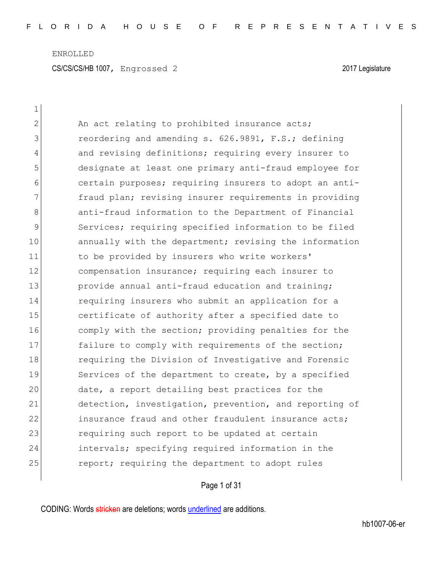| $\mathbf 1$  |                                                        |
|--------------|--------------------------------------------------------|
| $\mathbf{2}$ | An act relating to prohibited insurance acts;          |
| 3            | reordering and amending s. 626.9891, F.S.; defining    |
| 4            | and revising definitions; requiring every insurer to   |
| 5            | designate at least one primary anti-fraud employee for |
| 6            | certain purposes; requiring insurers to adopt an anti- |
| 7            | fraud plan; revising insurer requirements in providing |
| 8            | anti-fraud information to the Department of Financial  |
| 9            | Services; requiring specified information to be filed  |
| 10           | annually with the department; revising the information |
| 11           | to be provided by insurers who write workers'          |
| 12           | compensation insurance; requiring each insurer to      |
| 13           | provide annual anti-fraud education and training;      |
| 14           | requiring insurers who submit an application for a     |
| 15           | certificate of authority after a specified date to     |
| 16           | comply with the section; providing penalties for the   |
| 17           | failure to comply with requirements of the section;    |
| 18           | requiring the Division of Investigative and Forensic   |
| 19           | Services of the department to create, by a specified   |
| 20           | date, a report detailing best practices for the        |
| 21           | detection, investigation, prevention, and reporting of |
| 22           | insurance fraud and other fraudulent insurance acts;   |
| 23           | requiring such report to be updated at certain         |
| 24           | intervals; specifying required information in the      |
| 25           | report; requiring the department to adopt rules        |

Page 1 of 31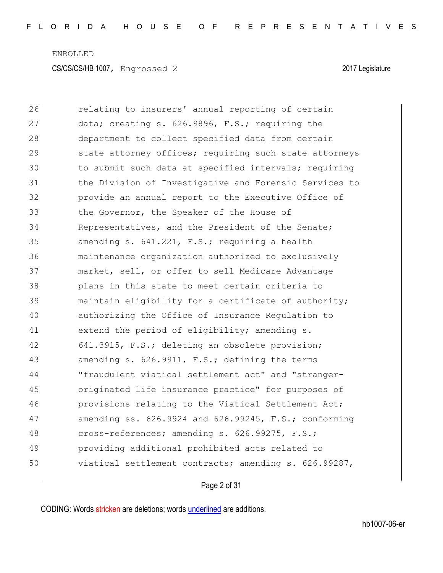| 26 | relating to insurers' annual reporting of certain          |
|----|------------------------------------------------------------|
| 27 | data; creating s. 626.9896, F.S.; requiring the            |
| 28 | department to collect specified data from certain          |
| 29 | state attorney offices; requiring such state attorneys     |
| 30 | to submit such data at specified intervals; requiring      |
| 31 | the Division of Investigative and Forensic Services to     |
| 32 | provide an annual report to the Executive Office of        |
| 33 | the Governor, the Speaker of the House of                  |
| 34 | Representatives, and the President of the Senate;          |
| 35 | amending s. 641.221, F.S.; requiring a health              |
| 36 | maintenance organization authorized to exclusively         |
| 37 | market, sell, or offer to sell Medicare Advantage          |
| 38 | plans in this state to meet certain criteria to            |
| 39 | maintain eligibility for a certificate of authority;       |
| 40 | authorizing the Office of Insurance Regulation to          |
| 41 | extend the period of eligibility; amending s.              |
| 42 | 641.3915, F.S.; deleting an obsolete provision;            |
| 43 | amending s. 626.9911, F.S.; defining the terms             |
| 44 | "fraudulent viatical settlement act" and "stranger-        |
| 45 | originated life insurance practice" for purposes of        |
| 46 | provisions relating to the Viatical Settlement Act;        |
| 47 | amending ss. $626.9924$ and $626.99245$ , F.S.; conforming |
| 48 | cross-references; amending s. 626.99275, F.S.;             |
| 49 | providing additional prohibited acts related to            |
| 50 | viatical settlement contracts; amending s. 626.99287,      |

Page 2 of 31

CODING: Words stricken are deletions; words underlined are additions.

 $\overline{\phantom{a}}$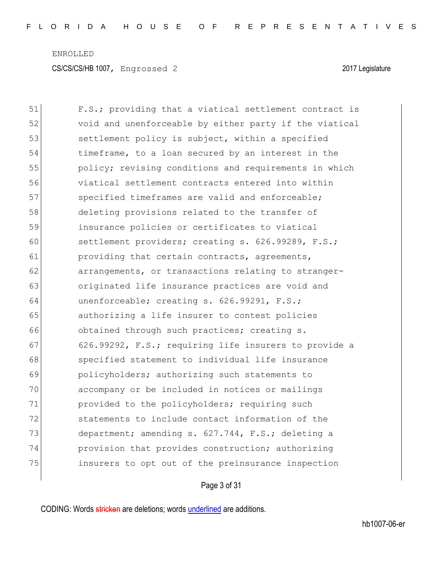51 F.S.; providing that a viatical settlement contract is 52 void and unenforceable by either party if the viatical 53 settlement policy is subject, within a specified 54 timeframe, to a loan secured by an interest in the 55 policy; revising conditions and requirements in which 56 viatical settlement contracts entered into within 57 specified timeframes are valid and enforceable; 58 deleting provisions related to the transfer of 59 insurance policies or certificates to viatical 60 settlement providers; creating s. 626.99289, F.S.; 61 **providing that certain contracts, agreements,** 62 **arrangements, or transactions relating to stranger-**63 originated life insurance practices are void and 64 unenforceable; creating s. 626.99291, F.S.; 65 authorizing a life insurer to contest policies 66 obtained through such practices; creating s. 67 626.99292, F.S.; requiring life insurers to provide a 68 specified statement to individual life insurance 69 policyholders; authorizing such statements to 70 accompany or be included in notices or mailings 71 provided to the policyholders; requiring such 72 statements to include contact information of the 73 department; amending s. 627.744, F.S.; deleting a 74 provision that provides construction; authorizing 75 insurers to opt out of the preinsurance inspection

## Page 3 of 31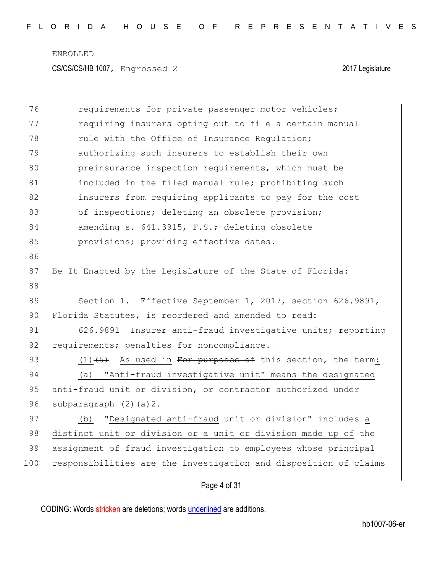| 76  | requirements for private passenger motor vehicles;               |
|-----|------------------------------------------------------------------|
| 77  | requiring insurers opting out to file a certain manual           |
| 78  | rule with the Office of Insurance Regulation;                    |
| 79  | authorizing such insurers to establish their own                 |
| 80  | preinsurance inspection requirements, which must be              |
| 81  | included in the filed manual rule; prohibiting such              |
| 82  | insurers from requiring applicants to pay for the cost           |
| 83  | of inspections; deleting an obsolete provision;                  |
| 84  | amending s. 641.3915, F.S.; deleting obsolete                    |
| 85  | provisions; providing effective dates.                           |
| 86  |                                                                  |
| 87  | Be It Enacted by the Legislature of the State of Florida:        |
| 88  |                                                                  |
| 89  | Section 1. Effective September 1, 2017, section 626.9891,        |
| 90  | Florida Statutes, is reordered and amended to read:              |
| 91  | 626.9891 Insurer anti-fraud investigative units; reporting       |
| 92  | requirements; penalties for noncompliance.-                      |
| 93  | $(1)$ $(5)$ As used in For purposes of this section, the term:   |
| 94  | "Anti-fraud investigative unit" means the designated<br>(a)      |
| 95  | anti-fraud unit or division, or contractor authorized under      |
| 96  | subparagraph $(2)$ $(a)$ $2$ .                                   |
| 97  | "Designated anti-fraud unit or division" includes a<br>(b)       |
| 98  | distinct unit or division or a unit or division made up of the   |
| 99  | assignment of fraud investigation to employees whose principal   |
| 100 | responsibilities are the investigation and disposition of claims |
|     |                                                                  |

Page 4 of 31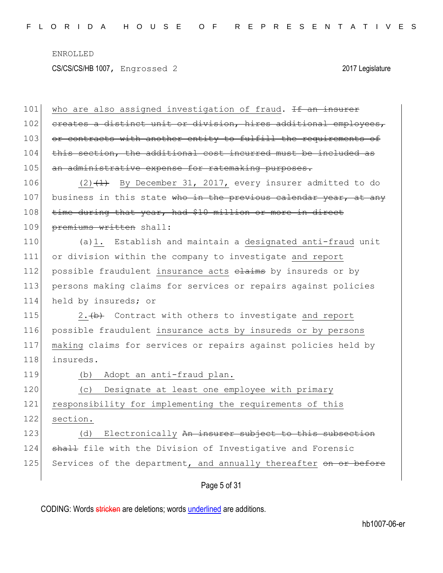CS/CS/CS/HB 1007, Engrossed 2 2017 Legislature

Page 5 of 31 101 who are also assigned investigation of fraud. If an insurer 102 creates a distinct unit or division, hires additional employees, 103 or contracts with another entity to fulfill the requirements of 104 this section, the additional cost incurred must be included as 105 an administrative expense for ratemaking purposes. 106  $(2)$   $(1)$  By December 31, 2017, every insurer admitted to do 107 business in this state who in the previous calendar year, at any 108 time during that year, had \$10 million or more in direct 109 premiums written shall: 110 (a)1. Establish and maintain a designated anti-fraud unit 111 or division within the company to investigate and report 112 possible fraudulent insurance acts elaims by insureds or by 113 persons making claims for services or repairs against policies 114 held by insureds; or 115 2.  $\leftrightarrow$  Contract with others to investigate and report 116 possible fraudulent insurance acts by insureds or by persons 117 making claims for services or repairs against policies held by 118 insureds. 119 (b) Adopt an anti-fraud plan. 120 (c) Designate at least one employee with primary 121 responsibility for implementing the requirements of this 122 section. 123 (d) Electronically An insurer subject to this subsection 124 shall file with the Division of Investigative and Forensic 125 Services of the department, and annually thereafter on or before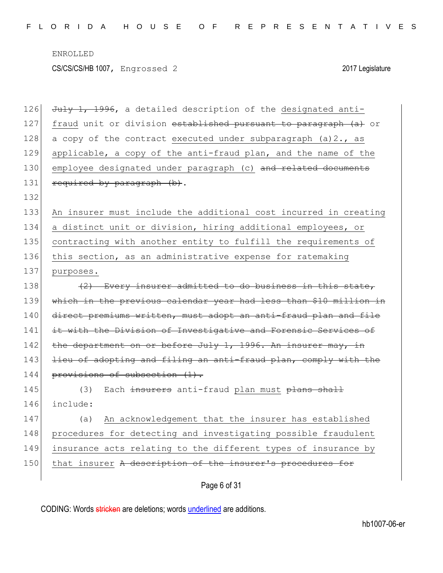| 126 | July 1, 1996, a detailed description of the designated anti-      |
|-----|-------------------------------------------------------------------|
| 127 | fraud unit or division established pursuant to paragraph (a) or   |
| 128 | a copy of the contract executed under subparagraph (a) 2., as     |
| 129 | applicable, a copy of the anti-fraud plan, and the name of the    |
| 130 | employee designated under paragraph (c) and related documents     |
| 131 | required by paragraph (b).                                        |
| 132 |                                                                   |
| 133 | An insurer must include the additional cost incurred in creating  |
| 134 | a distinct unit or division, hiring additional employees, or      |
| 135 | contracting with another entity to fulfill the requirements of    |
| 136 | this section, as an administrative expense for ratemaking         |
| 137 | purposes.                                                         |
| 138 | (2) Every insurer admitted to do business in this state,          |
| 139 | which in the previous calendar year had less than \$10 million in |
| 140 | direct premiums written, must adopt an anti-fraud plan and file   |
| 141 | it with the Division of Investigative and Forensic Services of    |
| 142 | the department on or before July 1, 1996. An insurer may, in      |
| 143 | lieu of adopting and filing an anti-fraud plan, comply with the   |
| 144 | provisions of subsection (1).                                     |
| 145 | Each insurers anti-fraud plan must plans shall<br>(3)             |
| 146 | include:                                                          |
| 147 | An acknowledgement that the insurer has established<br>(a)        |
| 148 | procedures for detecting and investigating possible fraudulent    |
| 149 | insurance acts relating to the different types of insurance by    |
| 150 | that insurer A description of the insurer's procedures for        |
|     | Page 6 of 31                                                      |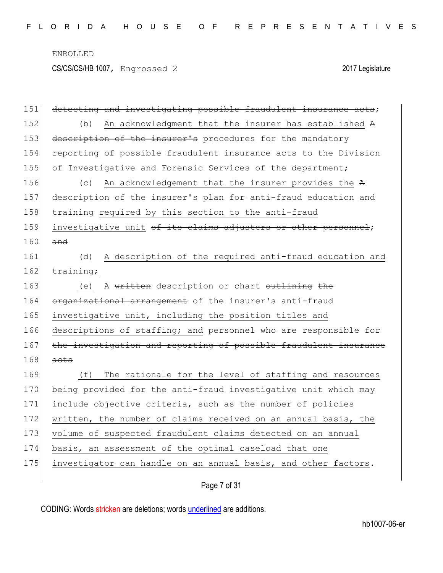CS/CS/CS/HB 1007, Engrossed 2 2017 Legislature

| 151 | detecting and investigating possible fraudulent insurance acts;  |
|-----|------------------------------------------------------------------|
| 152 | An acknowledgment that the insurer has established A<br>(b)      |
| 153 | description of the insurer's procedures for the mandatory        |
| 154 | reporting of possible fraudulent insurance acts to the Division  |
| 155 | of Investigative and Forensic Services of the department;        |
| 156 | An acknowledgement that the insurer provides the A<br>(C)        |
| 157 | description of the insurer's plan for anti-fraud education and   |
| 158 | training required by this section to the anti-fraud              |
| 159 | investigative unit of its claims adjusters or other personnel;   |
| 160 | and                                                              |
| 161 | A description of the required anti-fraud education and<br>(d)    |
| 162 | training;                                                        |
| 163 | A written description or chart outlining the<br>(e)              |
| 164 | organizational arrangement of the insurer's anti-fraud           |
| 165 | investigative unit, including the position titles and            |
| 166 | descriptions of staffing; and personnel who are responsible for  |
| 167 | the investigation and reporting of possible fraudulent insurance |
| 168 | acts                                                             |
| 169 | The rationale for the level of staffing and resources<br>(f)     |
| 170 | being provided for the anti-fraud investigative unit which may   |
| 171 | include objective criteria, such as the number of policies       |
| 172 | written, the number of claims received on an annual basis, the   |
| 173 | volume of suspected fraudulent claims detected on an annual      |
| 174 | basis, an assessment of the optimal caseload that one            |
| 175 | investigator can handle on an annual basis, and other factors.   |
|     |                                                                  |

Page 7 of 31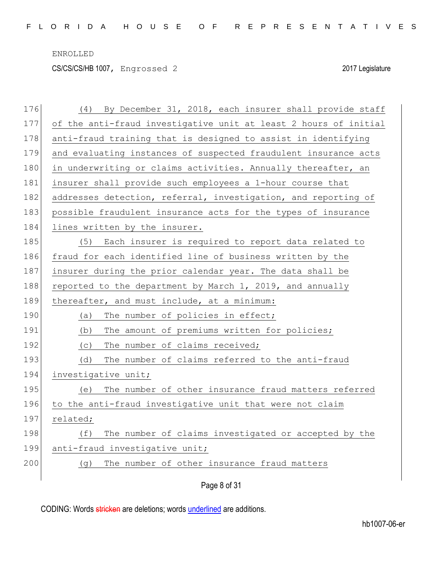CS/CS/CS/HB 1007, Engrossed 2 2017 Legislature

| By December 31, 2018, each insurer shall provide staff<br>(4)    |
|------------------------------------------------------------------|
| of the anti-fraud investigative unit at least 2 hours of initial |
| anti-fraud training that is designed to assist in identifying    |
| and evaluating instances of suspected fraudulent insurance acts  |
| in underwriting or claims activities. Annually thereafter, an    |
| insurer shall provide such employees a 1-hour course that        |
| addresses detection, referral, investigation, and reporting of   |
| possible fraudulent insurance acts for the types of insurance    |
| lines written by the insurer.                                    |
| Each insurer is required to report data related to<br>(5)        |
| fraud for each identified line of business written by the        |
| insurer during the prior calendar year. The data shall be        |
| reported to the department by March 1, 2019, and annually        |
| thereafter, and must include, at a minimum:                      |
| The number of policies in effect;<br>(a)                         |
| The amount of premiums written for policies;<br>(b)              |
| The number of claims received;<br>(C)                            |
| The number of claims referred to the anti-fraud<br>(d)           |
| investigative unit;                                              |
| The number of other insurance fraud matters referred<br>(e)      |
| to the anti-fraud investigative unit that were not claim         |
| related;                                                         |
| The number of claims investigated or accepted by the<br>(f)      |
| anti-fraud investigative unit;                                   |
| The number of other insurance fraud matters<br>(g)               |
| Page 8 of 31                                                     |
|                                                                  |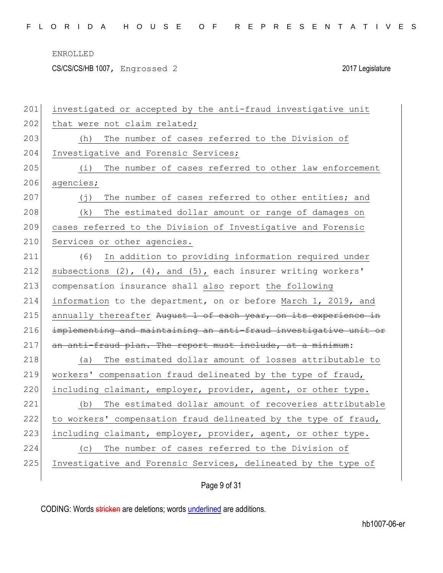|  |  |  |  |  |  |  |  | FLORIDA HOUSE OF REPRESENTATIVES |  |  |  |  |  |  |  |  |  |  |  |  |  |  |  |  |  |  |  |  |  |  |  |  |  |
|--|--|--|--|--|--|--|--|----------------------------------|--|--|--|--|--|--|--|--|--|--|--|--|--|--|--|--|--|--|--|--|--|--|--|--|--|
|--|--|--|--|--|--|--|--|----------------------------------|--|--|--|--|--|--|--|--|--|--|--|--|--|--|--|--|--|--|--|--|--|--|--|--|--|

CS/CS/CS/HB 1007, Engrossed 2 2017 Legislature

| 201 | investigated or accepted by the anti-fraud investigative unit    |
|-----|------------------------------------------------------------------|
| 202 | that were not claim related;                                     |
| 203 | The number of cases referred to the Division of<br>(h)           |
| 204 | Investigative and Forensic Services;                             |
| 205 | The number of cases referred to other law enforcement<br>(i)     |
| 206 | agencies;                                                        |
| 207 | The number of cases referred to other entities; and<br>(i)       |
| 208 | The estimated dollar amount or range of damages on<br>(k)        |
| 209 | cases referred to the Division of Investigative and Forensic     |
| 210 | Services or other agencies.                                      |
| 211 | In addition to providing information required under<br>(6)       |
| 212 | subsections (2), (4), and (5), each insurer writing workers'     |
| 213 | compensation insurance shall also report the following           |
| 214 | information to the department, on or before March 1, 2019, and   |
| 215 | annually thereafter August 1 of each year, on its experience in  |
| 216 | implementing and maintaining an anti-fraud investigative unit or |
| 217 | an anti-fraud plan. The report must include, at a minimum:       |
| 218 | The estimated dollar amount of losses attributable to<br>(a)     |
| 219 | workers' compensation fraud delineated by the type of fraud,     |
| 220 | including claimant, employer, provider, agent, or other type.    |
| 221 | The estimated dollar amount of recoveries attributable<br>(b)    |
| 222 | to workers' compensation fraud delineated by the type of fraud,  |
| 223 | including claimant, employer, provider, agent, or other type.    |
| 224 | The number of cases referred to the Division of<br>(C)           |
| 225 | Investigative and Forensic Services, delineated by the type of   |
|     |                                                                  |

Page 9 of 31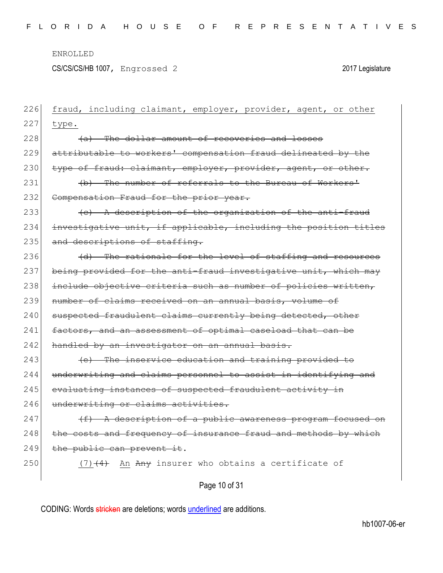CS/CS/CS/HB 1007, Engrossed 2 2017 Legislature

| 226 | fraud, including claimant, employer, provider, agent, or other   |
|-----|------------------------------------------------------------------|
| 227 | type.                                                            |
| 228 | (a) The dollar amount of recoveries and losses                   |
| 229 | attributable to workers' compensation fraud delineated by the    |
| 230 | type of fraud: claimant, employer, provider, agent, or other.    |
| 231 | (b) The number of referrals to the Bureau of Workers'            |
| 232 | Compensation Fraud for the prior year.                           |
| 233 | (c) A description of the organization of the anti-fraud          |
| 234 | investigative unit, if applicable, including the position titles |
| 235 | and descriptions of staffing.                                    |
| 236 | (d) The rationale for the level of staffing and resources        |
| 237 | being provided for the anti-fraud investigative unit, which may  |
| 238 | include objective criteria such as number of policies written,   |
| 239 | number of claims received on an annual basis, volume of          |
| 240 | suspected fraudulent claims currently being detected, other      |
| 241 | factors, and an assessment of optimal caseload that can be       |
| 242 | handled by an investigator on an annual basis.                   |
| 243 | (e) The inservice education and training provided to             |
| 244 | underwriting and claims personnel to assist in identifying and   |
| 245 | evaluating instances of suspected fraudulent activity in         |
| 246 | underwriting or claims activities.                               |
| 247 | $(f)$ A description of a public awareness program focused on     |
| 248 | the costs and frequency of insurance fraud and methods by which  |
| 249 | the public can prevent it.                                       |
| 250 | $(7)$ $(4)$ An Any insurer who obtains a certificate of          |
|     | Page 10 of 31                                                    |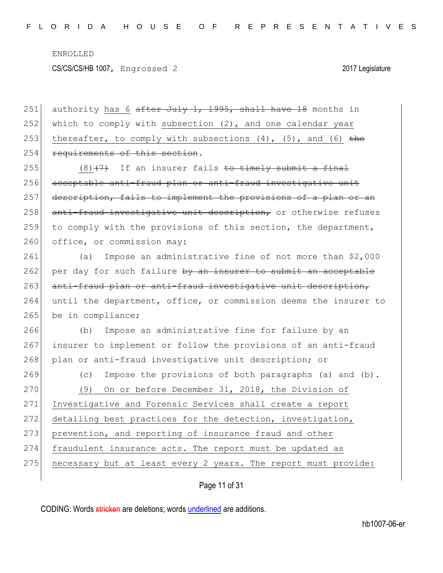251 authority has 6 after July 1, 1995, shall have 18 months in 252 which to comply with subsection  $(2)$ , and one calendar year 253 thereafter, to comply with subsections  $(4)$ ,  $(5)$ , and  $(6)$  the 254 requirements of this section.

255 (8)  $(7)$  If an insurer fails to timely submit a final 256 acceptable anti-fraud plan or anti-fraud investigative unit 257 description, fails to implement the provisions of a plan or an 258 anti-fraud investigative unit description, or otherwise refuses 259 to comply with the provisions of this section, the department, 260 office, or commission may:

261 (a) Impose an administrative fine of not more than \$2,000 262 per day for such failure by an insurer to submit an acceptable 263 anti-fraud plan or anti-fraud investigative unit description, 264 until the department, office, or commission deems the insurer to 265 be in compliance;

266 (b) Impose an administrative fine for failure by an 267 insurer to implement or follow the provisions of an anti-fraud 268 plan or anti-fraud investigative unit description; or

269 (c) Impose the provisions of both paragraphs (a) and (b). 270 (9) On or before December 31, 2018, the Division of 271 Investigative and Forensic Services shall create a report 272 detailing best practices for the detection, investigation, 273 prevention, and reporting of insurance fraud and other 274 fraudulent insurance acts. The report must be updated as  $275$  necessary but at least every 2 years. The report must provide:

Page 11 of 31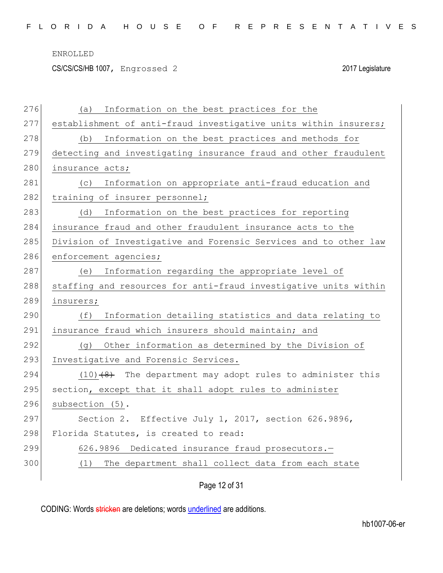CS/CS/CS/HB 1007, Engrossed 2 2017 Legislature

| 276 | Information on the best practices for the<br>(a)                 |
|-----|------------------------------------------------------------------|
| 277 | establishment of anti-fraud investigative units within insurers; |
| 278 | (b) Information on the best practices and methods for            |
| 279 | detecting and investigating insurance fraud and other fraudulent |
| 280 | insurance acts;                                                  |
| 281 | (c) Information on appropriate anti-fraud education and          |
| 282 | training of insurer personnel;                                   |
| 283 | Information on the best practices for reporting<br>(d)           |
| 284 | insurance fraud and other fraudulent insurance acts to the       |
| 285 | Division of Investigative and Forensic Services and to other law |
| 286 | enforcement agencies;                                            |
| 287 | (e) Information regarding the appropriate level of               |
| 288 | staffing and resources for anti-fraud investigative units within |
| 289 | insurers;                                                        |
| 290 | Information detailing statistics and data relating to<br>(f)     |
| 291 | insurance fraud which insurers should maintain; and              |
| 292 | (g) Other information as determined by the Division of           |
| 293 | Investigative and Forensic Services.                             |
| 294 | $(10)$ $(4)$ The department may adopt rules to administer this   |
| 295 | section, except that it shall adopt rules to administer          |
| 296 | subsection (5).                                                  |
| 297 | Section 2. Effective July 1, 2017, section 626.9896,             |
| 298 | Florida Statutes, is created to read:                            |
| 299 | 626.9896 Dedicated insurance fraud prosecutors.-                 |
| 300 | (1) The department shall collect data from each state            |
|     |                                                                  |

Page 12 of 31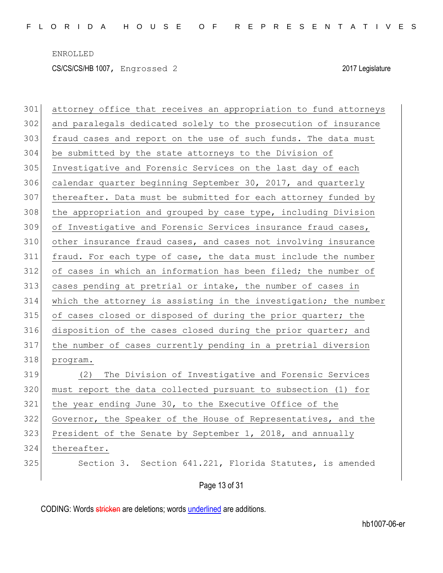| 301 | attorney office that receives an appropriation to fund attorneys |
|-----|------------------------------------------------------------------|
| 302 | and paralegals dedicated solely to the prosecution of insurance  |
| 303 | fraud cases and report on the use of such funds. The data must   |
| 304 | be submitted by the state attorneys to the Division of           |
| 305 | Investigative and Forensic Services on the last day of each      |
| 306 | calendar quarter beginning September 30, 2017, and quarterly     |
| 307 | thereafter. Data must be submitted for each attorney funded by   |
| 308 | the appropriation and grouped by case type, including Division   |
| 309 | of Investigative and Forensic Services insurance fraud cases,    |
| 310 | other insurance fraud cases, and cases not involving insurance   |
| 311 | fraud. For each type of case, the data must include the number   |
| 312 | of cases in which an information has been filed; the number of   |
| 313 | cases pending at pretrial or intake, the number of cases in      |
| 314 | which the attorney is assisting in the investigation; the number |
| 315 | of cases closed or disposed of during the prior quarter; the     |
| 316 | disposition of the cases closed during the prior quarter; and    |
| 317 | the number of cases currently pending in a pretrial diversion    |
| 318 | program.                                                         |
| 319 | The Division of Investigative and Forensic Services<br>(2)       |
| 320 | must report the data collected pursuant to subsection (1)<br>for |
| 321 | the year ending June 30, to the Executive Office of the          |
| 322 | Governor, the Speaker of the House of Representatives, and the   |
| 323 | President of the Senate by September 1, 2018, and annually       |
| 324 | thereafter.                                                      |
| 325 | Section 3. Section 641.221, Florida Statutes, is amended         |
|     | Page 13 of 31                                                    |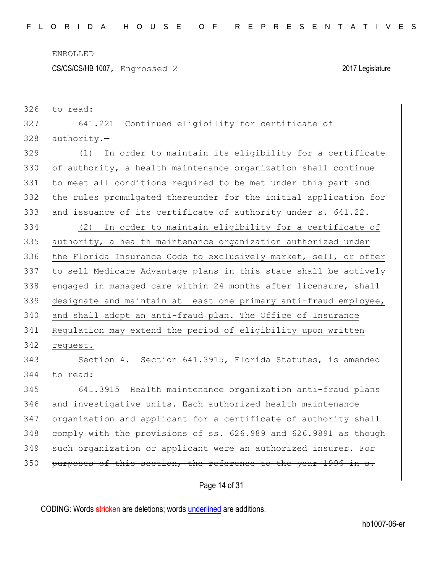326 to read:

CS/CS/CS/HB 1007, Engrossed 2 2017 Legislature

| 327 | 641.221 Continued eligibility for certificate of                 |
|-----|------------------------------------------------------------------|
| 328 | $authority.$ -                                                   |
| 329 | In order to maintain its eligibility for a certificate<br>(1)    |
| 330 | of authority, a health maintenance organization shall continue   |
| 331 | to meet all conditions required to be met under this part and    |
| 332 | the rules promulgated thereunder for the initial application for |
| 333 | and issuance of its certificate of authority under s. 641.22.    |
| 334 | (2) In order to maintain eligibility for a certificate of        |
| 335 | authority, a health maintenance organization authorized under    |
| 336 | the Florida Insurance Code to exclusively market, sell, or offer |
| 337 | to sell Medicare Advantage plans in this state shall be actively |
| 338 | engaged in managed care within 24 months after licensure, shall  |
| 339 | designate and maintain at least one primary anti-fraud employee, |
| 340 | and shall adopt an anti-fraud plan. The Office of Insurance      |
| 341 | Regulation may extend the period of eligibility upon written     |
| 342 | request.                                                         |
| 343 | Section 4. Section 641.3915, Florida Statutes, is amended        |
| 344 | to read:                                                         |
| 345 | 641.3915 Health maintenance organization anti-fraud plans        |
| 346 | and investigative units.-Each authorized health maintenance      |
| 347 | organization and applicant for a certificate of authority shall  |
| 348 | comply with the provisions of ss. 626.989 and 626.9891 as though |
| 349 | such organization or applicant were an authorized insurer. For   |
| 350 | purposes of this section, the reference to the year 1996 in s.   |
|     |                                                                  |

Page 14 of 31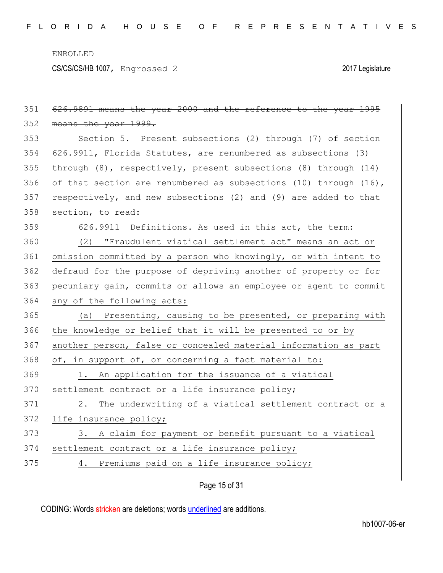CS/CS/CS/HB 1007, Engrossed 2 2017 Legislature

| 351 | 626.9891 means the year 2000 and the reference to the year 1995  |
|-----|------------------------------------------------------------------|
| 352 | means the year 1999.                                             |
| 353 | Section 5. Present subsections (2) through (7) of section        |
| 354 | 626.9911, Florida Statutes, are renumbered as subsections (3)    |
| 355 | through (8), respectively, present subsections (8) through (14)  |
| 356 | of that section are renumbered as subsections (10) through (16), |
| 357 | respectively, and new subsections (2) and (9) are added to that  |
| 358 | section, to read:                                                |
| 359 | 626.9911 Definitions. - As used in this act, the term:           |
| 360 | (2) "Fraudulent viatical settlement act" means an act or         |
| 361 | omission committed by a person who knowingly, or with intent to  |
| 362 | defraud for the purpose of depriving another of property or for  |
| 363 | pecuniary gain, commits or allows an employee or agent to commit |
|     |                                                                  |
| 364 | any of the following acts:                                       |
| 365 | Presenting, causing to be presented, or preparing with<br>(a)    |
| 366 | the knowledge or belief that it will be presented to or by       |
| 367 | another person, false or concealed material information as part  |
| 368 | of, in support of, or concerning a fact material to:             |
| 369 | 1. An application for the issuance of a viatical                 |
| 370 | settlement contract or a life insurance policy;                  |
| 371 | 2. The underwriting of a viatical settlement contract or a       |
| 372 | life insurance policy;                                           |
| 373 | 3. A claim for payment or benefit pursuant to a viatical         |
| 374 | settlement contract or a life insurance policy;                  |
| 375 | 4. Premiums paid on a life insurance policy;                     |

Page 15 of 31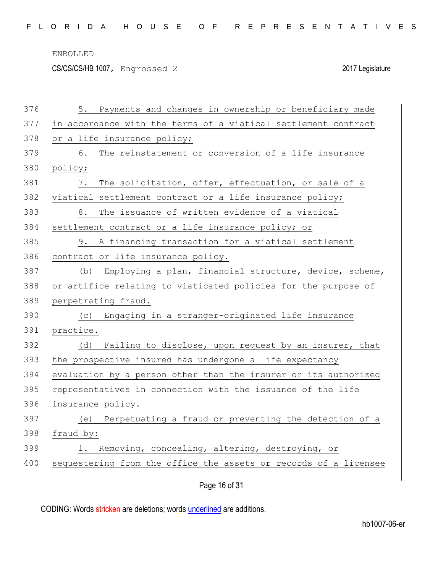|  |  |  | FLORIDA HOUSE OF REPRESENTATIVES |  |  |  |  |  |  |  |  |  |  |  |  |  |
|--|--|--|----------------------------------|--|--|--|--|--|--|--|--|--|--|--|--|--|
|  |  |  |                                  |  |  |  |  |  |  |  |  |  |  |  |  |  |

CS/CS/CS/HB 1007, Engrossed 2 2017 Legislature

| 376 | 5. Payments and changes in ownership or beneficiary made         |
|-----|------------------------------------------------------------------|
| 377 | in accordance with the terms of a viatical settlement contract   |
| 378 | or a life insurance policy;                                      |
| 379 | The reinstatement or conversion of a life insurance<br>6.        |
| 380 | policy;                                                          |
| 381 | The solicitation, offer, effectuation, or sale of a<br>7.        |
| 382 | viatical settlement contract or a life insurance policy;         |
| 383 | The issuance of written evidence of a viatical<br>8.             |
| 384 | settlement contract or a life insurance policy; or               |
| 385 | 9. A financing transaction for a viatical settlement             |
| 386 | contract or life insurance policy.                               |
| 387 | Employing a plan, financial structure, device, scheme,<br>(b)    |
| 388 | or artifice relating to viaticated policies for the purpose of   |
| 389 | perpetrating fraud.                                              |
| 390 | (c) Engaging in a stranger-originated life insurance             |
| 391 | practice.                                                        |
| 392 | Failing to disclose, upon request by an insurer, that<br>(d)     |
| 393 | the prospective insured has undergone a life expectancy          |
| 394 | evaluation by a person other than the insurer or its authorized  |
| 395 | representatives in connection with the issuance of the life      |
| 396 | insurance policy.                                                |
| 397 | (e) Perpetuating a fraud or preventing the detection of a        |
| 398 | fraud by:                                                        |
| 399 | Removing, concealing, altering, destroying, or<br>1.             |
| 400 | sequestering from the office the assets or records of a licensee |
|     | Page 16 of 31                                                    |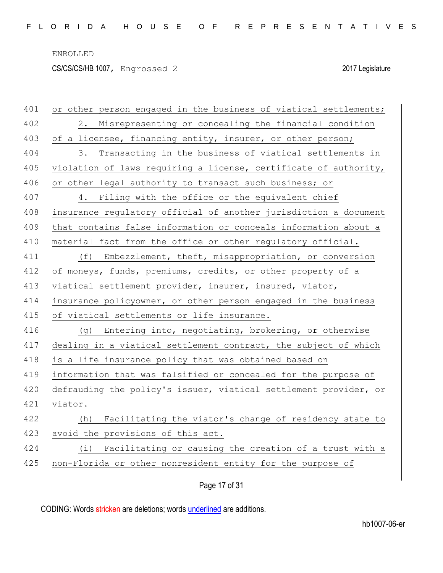CS/CS/CS/HB 1007, Engrossed 2 2017 Legislature

| 401 | or other person engaged in the business of viatical settlements; |
|-----|------------------------------------------------------------------|
| 402 | 2. Misrepresenting or concealing the financial condition         |
| 403 | of a licensee, financing entity, insurer, or other person;       |
| 404 | 3. Transacting in the business of viatical settlements in        |
| 405 | violation of laws requiring a license, certificate of authority, |
| 406 | or other legal authority to transact such business; or           |
| 407 | 4. Filing with the office or the equivalent chief                |
| 408 | insurance regulatory official of another jurisdiction a document |
| 409 | that contains false information or conceals information about a  |
| 410 | material fact from the office or other regulatory official.      |
| 411 | (f) Embezzlement, theft, misappropriation, or conversion         |
| 412 | of moneys, funds, premiums, credits, or other property of a      |
| 413 | viatical settlement provider, insurer, insured, viator,          |
| 414 | insurance policyowner, or other person engaged in the business   |
| 415 | of viatical settlements or life insurance.                       |
| 416 | (g) Entering into, negotiating, brokering, or otherwise          |
| 417 | dealing in a viatical settlement contract, the subject of which  |
| 418 | is a life insurance policy that was obtained based on            |
| 419 | information that was falsified or concealed for the purpose of   |
| 420 | defrauding the policy's issuer, viatical settlement provider, or |
| 421 | viator.                                                          |
| 422 | Facilitating the viator's change of residency state to<br>(h)    |
| 423 | avoid the provisions of this act.                                |
| 424 | Facilitating or causing the creation of a trust with a<br>(i)    |
| 425 | non-Florida or other nonresident entity for the purpose of       |
|     |                                                                  |

Page 17 of 31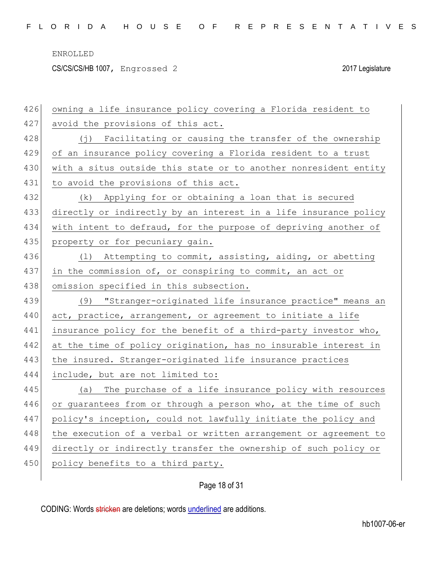CS/CS/CS/HB 1007, Engrossed 2 2017 Legislature

| 426 | owning a life insurance policy covering a Florida resident to     |
|-----|-------------------------------------------------------------------|
| 427 | avoid the provisions of this act.                                 |
| 428 | (j) Facilitating or causing the transfer of the ownership         |
| 429 | of an insurance policy covering a Florida resident to a trust     |
| 430 | with a situs outside this state or to another nonresident entity  |
| 431 | to avoid the provisions of this act.                              |
| 432 | (k) Applying for or obtaining a loan that is secured              |
| 433 | directly or indirectly by an interest in a life insurance policy  |
| 434 | with intent to defraud, for the purpose of depriving another of   |
| 435 | property or for pecuniary gain.                                   |
| 436 | Attempting to commit, assisting, aiding, or abetting<br>$(\perp)$ |
| 437 | in the commission of, or conspiring to commit, an act or          |
| 438 | omission specified in this subsection.                            |
|     |                                                                   |
| 439 | (9) "Stranger-originated life insurance practice" means an        |
| 440 | act, practice, arrangement, or agreement to initiate a life       |
| 441 | insurance policy for the benefit of a third-party investor who,   |
| 442 | at the time of policy origination, has no insurable interest in   |
| 443 | the insured. Stranger-originated life insurance practices         |
| 444 | include, but are not limited to:                                  |
| 445 | The purchase of a life insurance policy with resources<br>(a)     |
| 446 | or guarantees from or through a person who, at the time of such   |
| 447 | policy's inception, could not lawfully initiate the policy and    |
| 448 | the execution of a verbal or written arrangement or agreement to  |
| 449 | directly or indirectly transfer the ownership of such policy or   |
| 450 | policy benefits to a third party.                                 |

# Page 18 of 31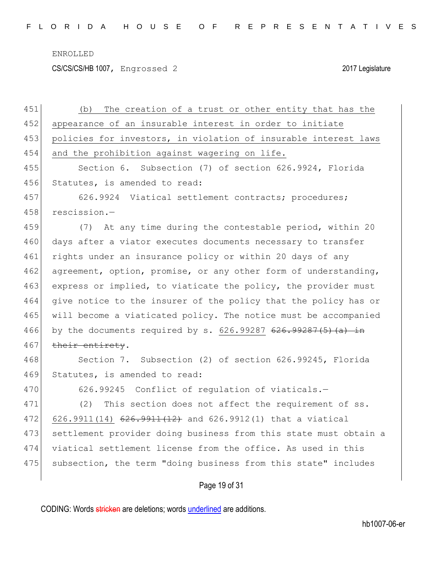CS/CS/CS/HB 1007, Engrossed 2 2017 Legislature

| 451 | The creation of a trust or other entity that has the<br>(b)       |
|-----|-------------------------------------------------------------------|
| 452 | appearance of an insurable interest in order to initiate          |
| 453 | policies for investors, in violation of insurable interest laws   |
| 454 | and the prohibition against wagering on life.                     |
| 455 | Section 6. Subsection (7) of section 626.9924, Florida            |
| 456 | Statutes, is amended to read:                                     |
| 457 | 626.9924 Viatical settlement contracts; procedures;               |
| 458 | rescission.-                                                      |
| 459 | (7) At any time during the contestable period, within 20          |
| 460 | days after a viator executes documents necessary to transfer      |
| 461 | rights under an insurance policy or within 20 days of any         |
| 462 | agreement, option, promise, or any other form of understanding,   |
| 463 | express or implied, to viaticate the policy, the provider must    |
| 464 | give notice to the insurer of the policy that the policy has or   |
| 465 | will become a viaticated policy. The notice must be accompanied   |
| 466 | by the documents required by s. $626.99287$ $626.99287(5)$ (a) in |
| 467 | their entirety.                                                   |
| 468 | Section 7. Subsection (2) of section 626.99245, Florida           |
| 469 | Statutes, is amended to read:                                     |
| 470 | 626.99245 Conflict of regulation of viaticals.-                   |
| 471 | (2)<br>This section does not affect the requirement of ss.        |
| 472 | $626.9911(14)$ $626.9911(12)$ and $626.9912(1)$ that a viatical   |
| 473 | settlement provider doing business from this state must obtain a  |
| 474 | viatical settlement license from the office. As used in this      |
| 475 | subsection, the term "doing business from this state" includes    |
|     | Page 19 of 31                                                     |
|     |                                                                   |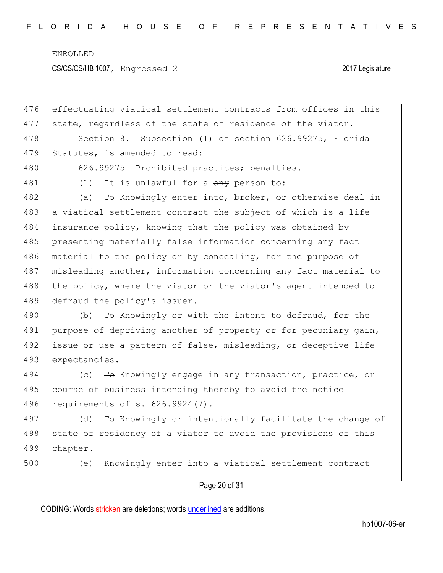CS/CS/CS/HB 1007, Engrossed 2 2017 Legislature

| 476 | effectuating viatical settlement contracts from offices in this |
|-----|-----------------------------------------------------------------|
| 477 | state, regardless of the state of residence of the viator.      |
| 478 | Section 8. Subsection (1) of section 626.99275, Florida         |
| 479 | Statutes, is amended to read:                                   |
| 480 | 626.99275 Prohibited practices; penalties.-                     |
| 481 | It is unlawful for a any person to:<br>(1)                      |
| 482 | To Knowingly enter into, broker, or otherwise deal in<br>(a)    |
| 483 | a viatical settlement contract the subject of which is a life   |
| 484 | insurance policy, knowing that the policy was obtained by       |
| 485 | presenting materially false information concerning any fact     |
| 486 | material to the policy or by concealing, for the purpose of     |
| 487 | misleading another, information concerning any fact material to |
| 488 | the policy, where the viator or the viator's agent intended to  |
| 489 | defraud the policy's issuer.                                    |
| 490 | To Knowingly or with the intent to defraud, for the<br>(b)      |
| 491 | purpose of depriving another of property or for pecuniary gain, |
| 492 | issue or use a pattern of false, misleading, or deceptive life  |
| 493 | expectancies.                                                   |
| 494 | To Knowingly engage in any transaction, practice, or<br>(C)     |
| 495 | course of business intending thereby to avoid the notice        |
| 496 | requirements of s. 626.9924(7).                                 |
| 497 | To Knowingly or intentionally facilitate the change of<br>(d)   |
| 498 | state of residency of a viator to avoid the provisions of this  |
| 499 | chapter.                                                        |
| 500 | Knowingly enter into a viatical settlement contract<br>(e)      |
|     | Page 20 of 31                                                   |
|     |                                                                 |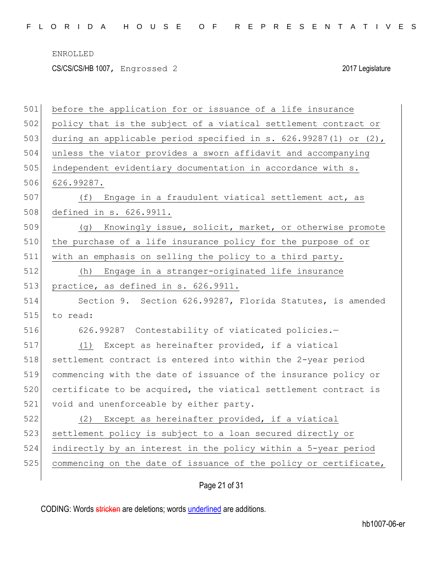CS/CS/CS/HB 1007, Engrossed 2 2017 Legislature

| 501 | before the application for or issuance of a life insurance       |
|-----|------------------------------------------------------------------|
| 502 | policy that is the subject of a viatical settlement contract or  |
| 503 | during an applicable period specified in s. 626.99287(1) or (2), |
| 504 | unless the viator provides a sworn affidavit and accompanying    |
| 505 | independent evidentiary documentation in accordance with s.      |
| 506 | 626.99287.                                                       |
| 507 | (f) Engage in a fraudulent viatical settlement act, as           |
| 508 | defined in s. 626.9911.                                          |
| 509 | Knowingly issue, solicit, market, or otherwise promote<br>(g)    |
| 510 | the purchase of a life insurance policy for the purpose of or    |
| 511 | with an emphasis on selling the policy to a third party.         |
| 512 | Engage in a stranger-originated life insurance<br>(h)            |
| 513 | practice, as defined in s. 626.9911.                             |
| 514 | Section 9. Section 626.99287, Florida Statutes, is amended       |
| 515 | to read:                                                         |
| 516 | 626.99287 Contestability of viaticated policies.-                |
|     |                                                                  |
| 517 | Except as hereinafter provided, if a viatical<br>(1)             |
| 518 | settlement contract is entered into within the 2-year period     |
| 519 | commencing with the date of issuance of the insurance policy or  |
| 520 | certificate to be acquired, the viatical settlement contract is  |
| 521 | void and unenforceable by either party.                          |
| 522 | (2) Except as hereinafter provided, if a viatical                |
| 523 | settlement policy is subject to a loan secured directly or       |
| 524 | indirectly by an interest in the policy within a 5-year period   |
| 525 | commencing on the date of issuance of the policy or certificate, |

# Page 21 of 31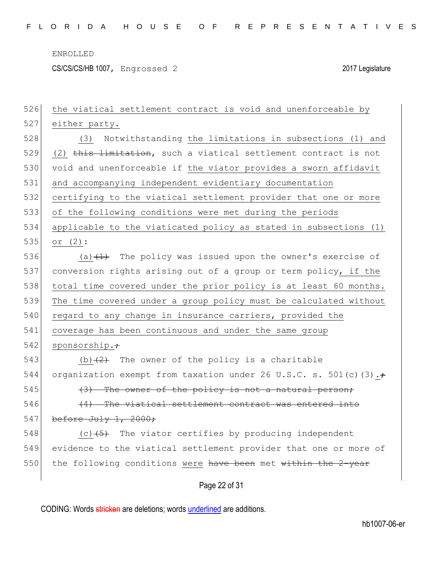CS/CS/CS/HB 1007, Engrossed 2 2017 Legislature

| 526 | the viatical settlement contract is void and unenforceable by            |
|-----|--------------------------------------------------------------------------|
| 527 | either party.                                                            |
| 528 | (3) Notwithstanding the limitations in subsections (1) and               |
| 529 | (2) this limitation, such a viatical settlement contract is not          |
| 530 | void and unenforceable if the viator provides a sworn affidavit          |
| 531 | and accompanying independent evidentiary documentation                   |
| 532 | certifying to the viatical settlement provider that one or more          |
| 533 | of the following conditions were met during the periods                  |
| 534 | applicable to the viaticated policy as stated in subsections (1)         |
| 535 | or $(2)$ :                                                               |
| 536 | (a) $(1)$ The policy was issued upon the owner's exercise of             |
| 537 | conversion rights arising out of a group or term policy, if the          |
| 538 | total time covered under the prior policy is at least 60 months.         |
| 539 | The time covered under a group policy must be calculated without         |
| 540 | regard to any change in insurance carriers, provided the                 |
| 541 | coverage has been continuous and under the same group                    |
| 542 | sponsorship. <del>;</del>                                                |
| 543 | (b) $(2)$ The owner of the policy is a charitable                        |
| 544 | organization exempt from taxation under 26 U.S.C. s. 501(c) (3).         |
| 545 | (3) The owner of the policy is not a natural person;                     |
| 546 | (4) The viatical settlement contract was entered into                    |
| 547 | before July $1, 2000;$                                                   |
| 548 | The viator certifies by producing independent<br>$(c)$ $\overline{(+5)}$ |
| 549 | evidence to the viatical settlement provider that one or more of         |
| 550 | the following conditions were have been met within the 2-year            |
|     |                                                                          |
|     | Page 22 of 31                                                            |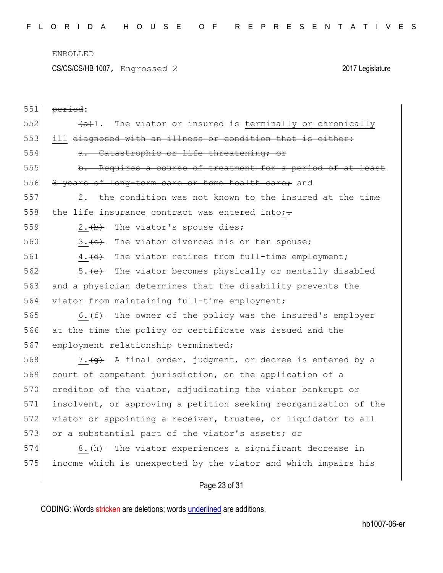CS/CS/CS/HB 1007, Engrossed 2 2017 Legislature

| 551 | period:                                                              |
|-----|----------------------------------------------------------------------|
| 552 | $\overline{a}$ 1. The viator or insured is terminally or chronically |
| 553 | ill diagnosed with an illness or condition that is either:           |
| 554 | a. Catastrophic or life threatening; or                              |
| 555 | b. Requires a course of treatment for a period of at least           |
| 556 | 3 years of long-term care or home health care; and                   |
| 557 | $\frac{2}{x}$ the condition was not known to the insured at the time |
| 558 | the life insurance contract was entered into; $\div$                 |
| 559 | 2. (b) The viator's spouse dies;                                     |
| 560 | 3. (e) The viator divorces his or her spouse;                        |
| 561 | 4. (d) The viator retires from full-time employment;                 |
| 562 | 5. <del>(e)</del> The viator becomes physically or mentally disabled |
| 563 | and a physician determines that the disability prevents the          |
| 564 | viator from maintaining full-time employment;                        |
| 565 | The owner of the policy was the insured's employer<br>6. $(f)$       |
| 566 | at the time the policy or certificate was issued and the             |
| 567 | employment relationship terminated;                                  |
| 568 | 7. (g) A final order, judgment, or decree is entered by a            |
| 569 | court of competent jurisdiction, on the application of a             |
| 570 | creditor of the viator, adjudicating the viator bankrupt or          |
| 571 | insolvent, or approving a petition seeking reorganization of the     |
| 572 | viator or appointing a receiver, trustee, or liquidator to all       |
| 573 | or a substantial part of the viator's assets; or                     |
| 574 | The viator experiences a significant decrease in<br>$8. (+h)$        |
| 575 | income which is unexpected by the viator and which impairs his       |
|     |                                                                      |

Page 23 of 31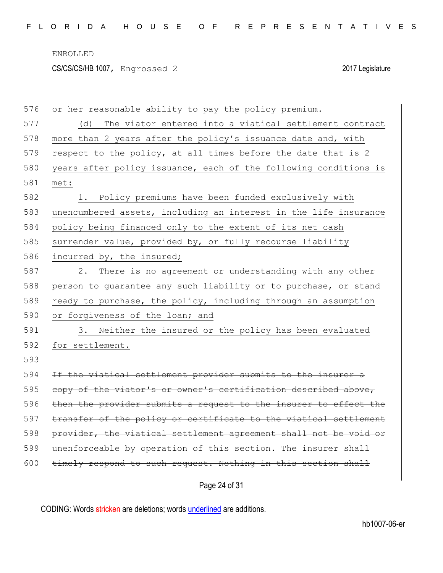CS/CS/CS/HB 1007, Engrossed 2 2017 Legislature

| 576 | or her reasonable ability to pay the policy premium.             |
|-----|------------------------------------------------------------------|
| 577 | The viator entered into a viatical settlement contract<br>(d)    |
| 578 | more than 2 years after the policy's issuance date and, with     |
| 579 | respect to the policy, at all times before the date that is 2    |
| 580 | years after policy issuance, each of the following conditions is |
| 581 | met:                                                             |
| 582 | 1. Policy premiums have been funded exclusively with             |
| 583 | unencumbered assets, including an interest in the life insurance |
| 584 | policy being financed only to the extent of its net cash         |
| 585 | surrender value, provided by, or fully recourse liability        |
| 586 | incurred by, the insured;                                        |
| 587 | There is no agreement or understanding with any other<br>2.      |
| 588 | person to guarantee any such liability or to purchase, or stand  |
| 589 | ready to purchase, the policy, including through an assumption   |
| 590 | or forgiveness of the loan; and                                  |
| 591 | 3. Neither the insured or the policy has been evaluated          |
| 592 | for settlement.                                                  |
| 593 |                                                                  |
| 594 | If the viatical settlement provider submits to the insurer a     |
| 595 | copy of the viator's or owner's certification described above,   |
| 596 | then the provider submits a request to the insurer to effect the |
| 597 | transfer of the policy or certificate to the viatical settlement |
| 598 | provider, the viatical settlement agreement shall not be void or |
| 599 | unenforceable by operation of this section. The insurer shall    |
| 600 | timely respond to such request. Nothing in this section shall    |
|     |                                                                  |

Page 24 of 31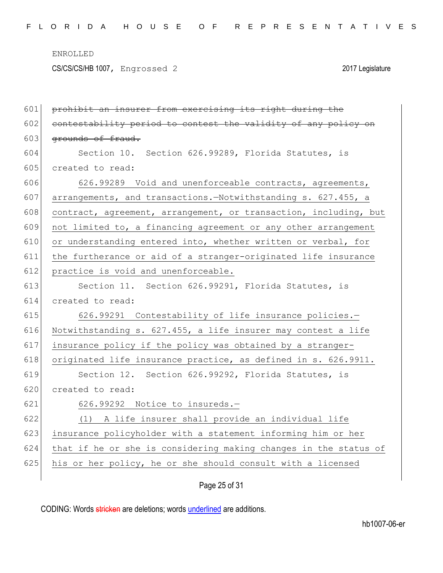CS/CS/CS/HB 1007, Engrossed 2 2017 Legislature

| 601 | prohibit an insurer from exercising its right during the         |
|-----|------------------------------------------------------------------|
| 602 | contestability period to contest the validity of any policy on   |
| 603 | grounds of fraud.                                                |
| 604 | Section 10. Section 626.99289, Florida Statutes, is              |
| 605 | created to read:                                                 |
| 606 | 626.99289 Void and unenforceable contracts, agreements,          |
| 607 | arrangements, and transactions.-Notwithstanding s. 627.455, a    |
| 608 | contract, agreement, arrangement, or transaction, including, but |
| 609 | not limited to, a financing agreement or any other arrangement   |
| 610 | or understanding entered into, whether written or verbal, for    |
| 611 | the furtherance or aid of a stranger-originated life insurance   |
| 612 | practice is void and unenforceable.                              |
| 613 | Section 11. Section 626.99291, Florida Statutes, is              |
| 614 | created to read:                                                 |
| 615 | 626.99291 Contestability of life insurance policies.-            |
| 616 | Notwithstanding s. 627.455, a life insurer may contest a life    |
| 617 | insurance policy if the policy was obtained by a stranger-       |
| 618 | originated life insurance practice, as defined in s. 626.9911.   |
| 619 | Section 12. Section 626.99292, Florida Statutes, is              |
| 620 | created to read:                                                 |
| 621 |                                                                  |
|     | 626.99292 Notice to insureds.-                                   |
| 622 | (1) A life insurer shall provide an individual life              |
| 623 | insurance policyholder with a statement informing him or her     |
| 624 | that if he or she is considering making changes in the status of |
| 625 | his or her policy, he or she should consult with a licensed      |

Page 25 of 31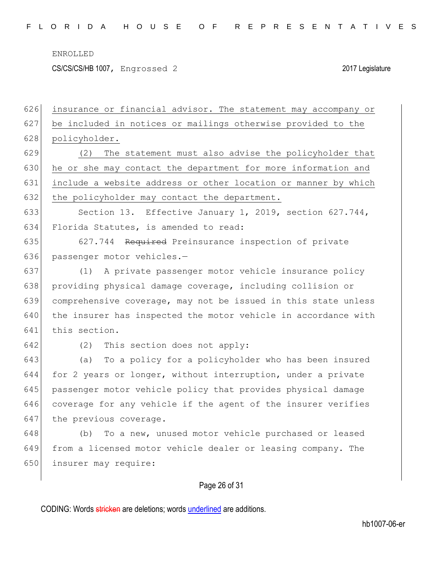CS/CS/CS/HB 1007, Engrossed 2 2017 Legislature

Page 26 of 31 626 insurance or financial advisor. The statement may accompany or 627 be included in notices or mailings otherwise provided to the 628 policyholder. 629 (2) The statement must also advise the policyholder that 630 he or she may contact the department for more information and 631 include a website address or other location or manner by which 632 the policyholder may contact the department. 633 Section 13. Effective January 1, 2019, section 627.744, 634 Florida Statutes, is amended to read: 635 627.744 Required Preinsurance inspection of private 636 passenger motor vehicles.-637 (1) A private passenger motor vehicle insurance policy 638 providing physical damage coverage, including collision or 639 comprehensive coverage, may not be issued in this state unless 640 the insurer has inspected the motor vehicle in accordance with 641 this section. 642 (2) This section does not apply: 643 (a) To a policy for a policyholder who has been insured 644 for 2 years or longer, without interruption, under a private 645 passenger motor vehicle policy that provides physical damage 646 coverage for any vehicle if the agent of the insurer verifies 647 the previous coverage. 648 (b) To a new, unused motor vehicle purchased or leased 649 from a licensed motor vehicle dealer or leasing company. The 650 insurer may require: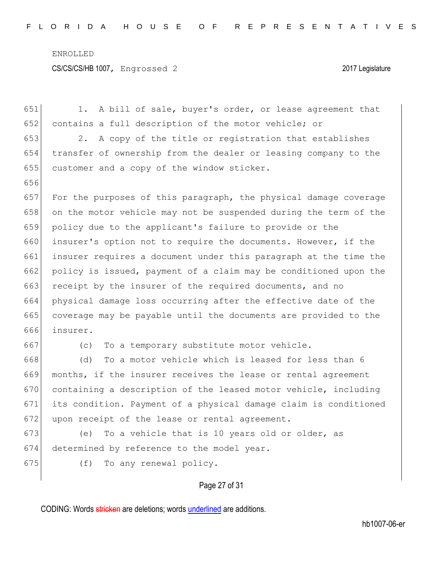| 651 | A bill of sale, buyer's order, or lease agreement that<br>1. .   |
|-----|------------------------------------------------------------------|
| 652 | contains a full description of the motor vehicle; or             |
| 653 | A copy of the title or registration that establishes<br>2.       |
| 654 | transfer of ownership from the dealer or leasing company to the  |
| 655 | customer and a copy of the window sticker.                       |
| 656 |                                                                  |
| 657 | For the purposes of this paragraph, the physical damage coverage |
| 658 | on the motor vehicle may not be suspended during the term of the |
| 659 | policy due to the applicant's failure to provide or the          |
| 660 | insurer's option not to require the documents. However, if the   |
| 661 | insurer requires a document under this paragraph at the time the |
| 662 | policy is issued, payment of a claim may be conditioned upon the |
| 663 | receipt by the insurer of the required documents, and no         |
| 664 | physical damage loss occurring after the effective date of the   |
| 665 | coverage may be payable until the documents are provided to the  |
| 666 | insurer.                                                         |
| 667 | To a temporary substitute motor vehicle.<br>(C)                  |
| 668 | To a motor vehicle which is leased for less than 6<br>(d)        |
| 669 | months, if the insurer receives the lease or rental agreement    |
| 670 | containing a description of the leased motor vehicle, including  |
| 671 | its condition. Payment of a physical damage claim is conditioned |
| 672 | upon receipt of the lease or rental agreement.                   |
| 673 | To a vehicle that is 10 years old or older, as<br>(e)            |
| 674 | determined by reference to the model year.                       |
| 675 | To any renewal policy.<br>(f)                                    |
|     |                                                                  |

Page 27 of 31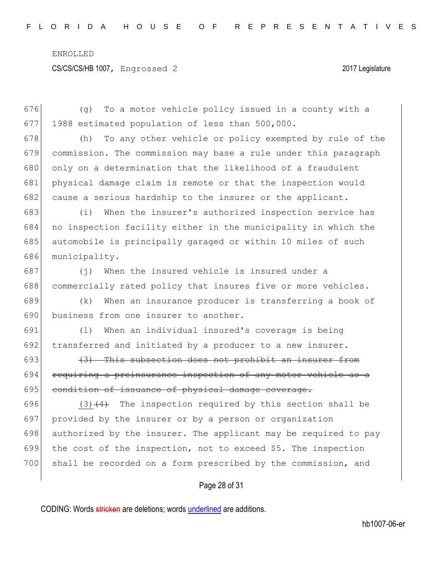CS/CS/CS/HB 1007, Engrossed 2 2017 Legislature

Page 28 of 31 676 (g) To a motor vehicle policy issued in a county with a 677 1988 estimated population of less than 500,000. 678 (h) To any other vehicle or policy exempted by rule of the 679 commission. The commission may base a rule under this paragraph 680 only on a determination that the likelihood of a fraudulent 681 physical damage claim is remote or that the inspection would 682 cause a serious hardship to the insurer or the applicant. 683 (i) When the insurer's authorized inspection service has 684 no inspection facility either in the municipality in which the 685 automobile is principally garaged or within 10 miles of such 686 municipality. 687 (j) When the insured vehicle is insured under a 688 commercially rated policy that insures five or more vehicles. 689 (k) When an insurance producer is transferring a book of 690 business from one insurer to another. 691 (l) When an individual insured's coverage is being 692 transferred and initiated by a producer to a new insurer. 693  $(3)$  This subsection does not prohibit an insurer from 694 requiring a preinsurance inspection of any motor vehicle as a 695 condition of issuance of physical damage coverage. 696 (3) $\left(4\right)$  The inspection required by this section shall be 697 provided by the insurer or by a person or organization 698 authorized by the insurer. The applicant may be required to pay 699 the cost of the inspection, not to exceed \$5. The inspection 700 shall be recorded on a form prescribed by the commission, and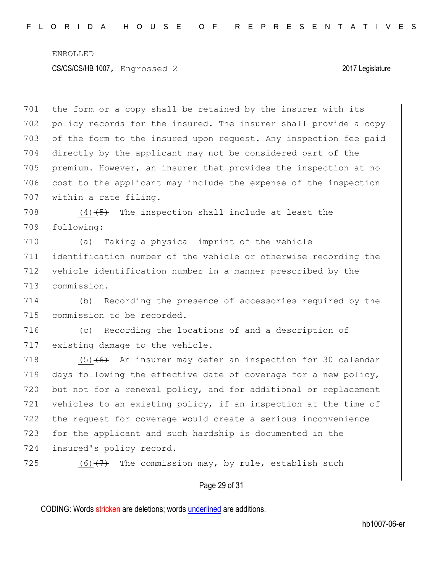## CS/CS/CS/HB 1007, Engrossed 2 2017 Legislature

 the form or a copy shall be retained by the insurer with its policy records for the insured. The insurer shall provide a copy of the form to the insured upon request. Any inspection fee paid directly by the applicant may not be considered part of the premium. However, an insurer that provides the inspection at no 706 cost to the applicant may include the expense of the inspection 707 within a rate filing.

708  $(4)$   $(5)$  The inspection shall include at least the 709 following:

 (a) Taking a physical imprint of the vehicle identification number of the vehicle or otherwise recording the vehicle identification number in a manner prescribed by the 713 commission.

714 (b) Recording the presence of accessories required by the 715 commission to be recorded.

716 (c) Recording the locations of and a description of 717 existing damage to the vehicle.

718  $(5)$  (6) An insurer may defer an inspection for 30 calendar 719 days following the effective date of coverage for a new policy, 720 but not for a renewal policy, and for additional or replacement 721 vehicles to an existing policy, if an inspection at the time of 722 the request for coverage would create a serious inconvenience 723 for the applicant and such hardship is documented in the 724 insured's policy record.

725 (6) $(7)$  The commission may, by rule, establish such

# Page 29 of 31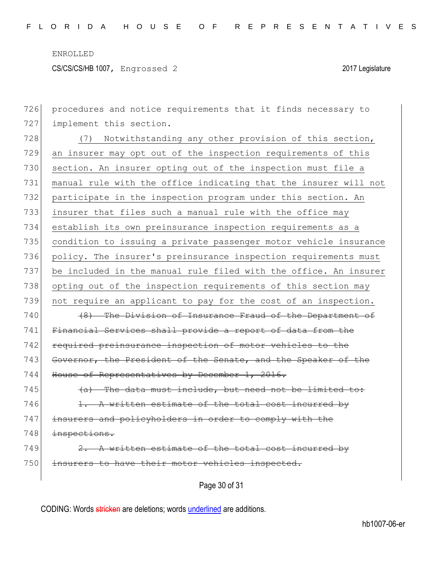CS/CS/CS/HB 1007, Engrossed 2 2017 Legislature

726 procedures and notice requirements that it finds necessary to 727 implement this section. 728 (7) Notwithstanding any other provision of this section, 729 an insurer may opt out of the inspection requirements of this 730 section. An insurer opting out of the inspection must file a 731 manual rule with the office indicating that the insurer will not 732 participate in the inspection program under this section. An 733 insurer that files such a manual rule with the office may 734 establish its own preinsurance inspection requirements as a 735 condition to issuing a private passenger motor vehicle insurance 736 policy. The insurer's preinsurance inspection requirements must 737 be included in the manual rule filed with the office. An insurer 738 opting out of the inspection requirements of this section may 739 not require an applicant to pay for the cost of an inspection.  $740$  (8) The Division of Insurance Fraud of the Department of 741 Financial Services shall provide a report of data from the 742 required preinsurance inspection of motor vehicles 743 Governor, the President of the Senate, and the Speaker of the 744 House of Representatives by December 1, 2016.  $745$  (a) The data must include, but need not be limited to:  $746$  1. A written estimate of the total cost incurred by 747 insurers and policyholders in order to comply with the 748 inspections.  $749$  2. A written estimate of the total cost incurred by 750 insurers to have their motor vehicles inspected.

Page 30 of 31